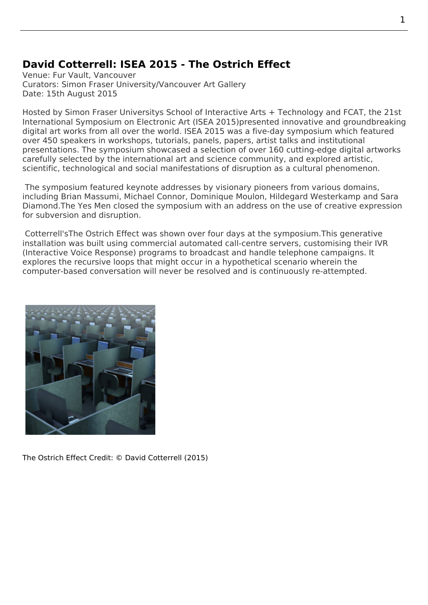## **David Cotterrell: ISEA 2015 - The Ostrich Effect**

Venue: Fur Vault, Vancouver Curators: Simon Fraser University/Vancouver Art Gallery Date: 15th August 2015

Hosted by Simon Fraser Universitys School of Interactive Arts + Technology and FCAT, the 21st International Symposium on Electronic Art (ISEA 2015)presented innovative and groundbreaking digital art works from all over the world. ISEA 2015 was a five-day symposium which featured over 450 speakers in workshops, tutorials, panels, papers, artist talks and institutional presentati[ons. The symposium showcased a selection of over 160 cutting-ed](http://www.sfu.ca/siat.html)ge [digital](https://www.sfu.ca/fcat.html) [artworks](http://isea2015.org/) [carefully selected by the international art and science c](http://isea2015.org/)ommunity, and explored artistic, scientific, technological and social manif[estations o](http://isea2015.org/)f disruption as a cultural phenomenon.

 The symposium featured keynote addresses by visionary pioneers from various domains, including Brian Massumi, Michael Connor, Dominique Moulon, Hildegard Westerkamp and Sara Diamond.The Yes Men closed the symposium with an address on the use of creative expression for subversion and disruption.

 Cotterrel[l'sThe Ostrich E](http://www.brianmassumi.com/)ffect was shown [over four days at th](http://www.moulon.net/)e symposium.This generative installati[on was built u](http://theyesmen.org)sing commercial automated call-centre servers, customising their IVR (Interactive Voice Response) programs to broadcast and handle telephone campaigns. It explores the recursive loops that might occur in a hypothetical scenario wherein the computer-based conversation will never be resolved and is continuously re-attempted.



The Ostrich Effect Credit: © David Cotterrell (2015)